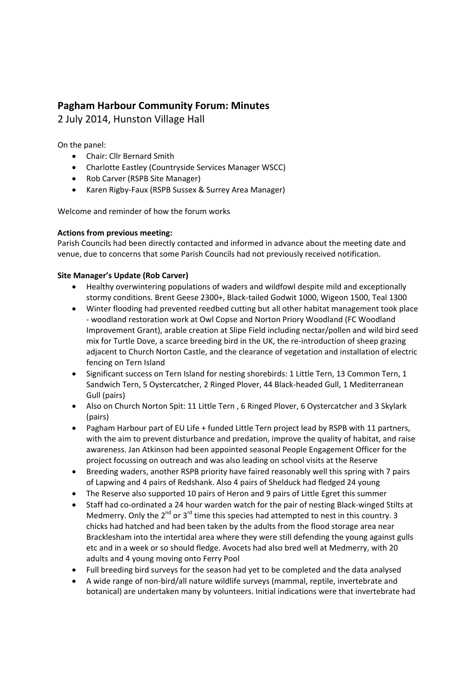# **Pagham Harbour Community Forum: Minutes**

# 2 July 2014, Hunston Village Hall

On the panel:

- Chair: Cllr Bernard Smith
- Charlotte Eastley (Countryside Services Manager WSCC)
- Rob Carver (RSPB Site Manager)
- Karen Rigby‐Faux (RSPB Sussex & Surrey Area Manager)

Welcome and reminder of how the forum works

# **Actions from previous meeting:**

Parish Councils had been directly contacted and informed in advance about the meeting date and venue, due to concerns that some Parish Councils had not previously received notification.

# **Site Manager's Update (Rob Carver)**

- Healthy overwintering populations of waders and wildfowl despite mild and exceptionally stormy conditions. Brent Geese 2300+, Black‐tailed Godwit 1000, Wigeon 1500, Teal 1300
- Winter flooding had prevented reedbed cutting but all other habitat management took place ‐ woodland restoration work at Owl Copse and Norton Priory Woodland (FC Woodland Improvement Grant), arable creation at Slipe Field including nectar/pollen and wild bird seed mix for Turtle Dove, a scarce breeding bird in the UK, the re‐introduction of sheep grazing adjacent to Church Norton Castle, and the clearance of vegetation and installation of electric fencing on Tern Island
- Significant success on Tern Island for nesting shorebirds: 1 Little Tern, 13 Common Tern, 1 Sandwich Tern, 5 Oystercatcher, 2 Ringed Plover, 44 Black‐headed Gull, 1 Mediterranean Gull (pairs)
- Also on Church Norton Spit: 11 Little Tern , 6 Ringed Plover, 6 Oystercatcher and 3 Skylark (pairs)
- Pagham Harbour part of EU Life + funded Little Tern project lead by RSPB with 11 partners, with the aim to prevent disturbance and predation, improve the quality of habitat, and raise awareness. Jan Atkinson had been appointed seasonal People Engagement Officer for the project focussing on outreach and was also leading on school visits at the Reserve
- Breeding waders, another RSPB priority have faired reasonably well this spring with 7 pairs of Lapwing and 4 pairs of Redshank. Also 4 pairs of Shelduck had fledged 24 young
- The Reserve also supported 10 pairs of Heron and 9 pairs of Little Egret this summer
- Staff had co‐ordinated a 24 hour warden watch for the pair of nesting Black‐winged Stilts at Medmerry. Only the  $2^{nd}$  or  $3^{rd}$  time this species had attempted to nest in this country. 3 chicks had hatched and had been taken by the adults from the flood storage area near Bracklesham into the intertidal area where they were still defending the young against gulls etc and in a week or so should fledge. Avocets had also bred well at Medmerry, with 20 adults and 4 young moving onto Ferry Pool
- Full breeding bird surveys for the season had yet to be completed and the data analysed
- A wide range of non‐bird/all nature wildlife surveys (mammal, reptile, invertebrate and botanical) are undertaken many by volunteers. Initial indications were that invertebrate had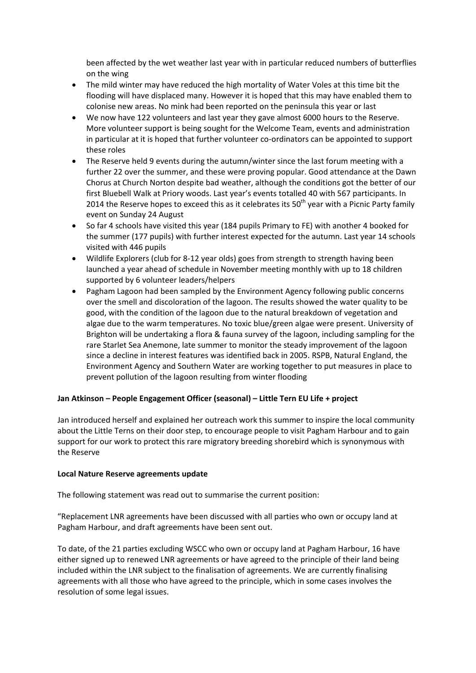been affected by the wet weather last year with in particular reduced numbers of butterflies on the wing

- The mild winter may have reduced the high mortality of Water Voles at this time bit the flooding will have displaced many. However it is hoped that this may have enabled them to colonise new areas. No mink had been reported on the peninsula this year or last
- We now have 122 volunteers and last year they gave almost 6000 hours to the Reserve. More volunteer support is being sought for the Welcome Team, events and administration in particular at it is hoped that further volunteer co-ordinators can be appointed to support these roles
- The Reserve held 9 events during the autumn/winter since the last forum meeting with a further 22 over the summer, and these were proving popular. Good attendance at the Dawn Chorus at Church Norton despite bad weather, although the conditions got the better of our first Bluebell Walk at Priory woods. Last year's events totalled 40 with 567 participants. In 2014 the Reserve hopes to exceed this as it celebrates its  $50<sup>th</sup>$  year with a Picnic Party family event on Sunday 24 August
- So far 4 schools have visited this year (184 pupils Primary to FE) with another 4 booked for the summer (177 pupils) with further interest expected for the autumn. Last year 14 schools visited with 446 pupils
- Wildlife Explorers (club for 8‐12 year olds) goes from strength to strength having been launched a year ahead of schedule in November meeting monthly with up to 18 children supported by 6 volunteer leaders/helpers
- Pagham Lagoon had been sampled by the Environment Agency following public concerns over the smell and discoloration of the lagoon. The results showed the water quality to be good, with the condition of the lagoon due to the natural breakdown of vegetation and algae due to the warm temperatures. No toxic blue/green algae were present. University of Brighton will be undertaking a flora & fauna survey of the lagoon, including sampling for the rare Starlet Sea Anemone, late summer to monitor the steady improvement of the lagoon since a decline in interest features was identified back in 2005. RSPB, Natural England, the Environment Agency and Southern Water are working together to put measures in place to prevent pollution of the lagoon resulting from winter flooding

## **Jan Atkinson – People Engagement Officer (seasonal) – Little Tern EU Life + project**

Jan introduced herself and explained her outreach work this summer to inspire the local community about the Little Terns on their door step, to encourage people to visit Pagham Harbour and to gain support for our work to protect this rare migratory breeding shorebird which is synonymous with the Reserve

## **Local Nature Reserve agreements update**

The following statement was read out to summarise the current position:

"Replacement LNR agreements have been discussed with all parties who own or occupy land at Pagham Harbour, and draft agreements have been sent out.

To date, of the 21 parties excluding WSCC who own or occupy land at Pagham Harbour, 16 have either signed up to renewed LNR agreements or have agreed to the principle of their land being included within the LNR subject to the finalisation of agreements. We are currently finalising agreements with all those who have agreed to the principle, which in some cases involves the resolution of some legal issues.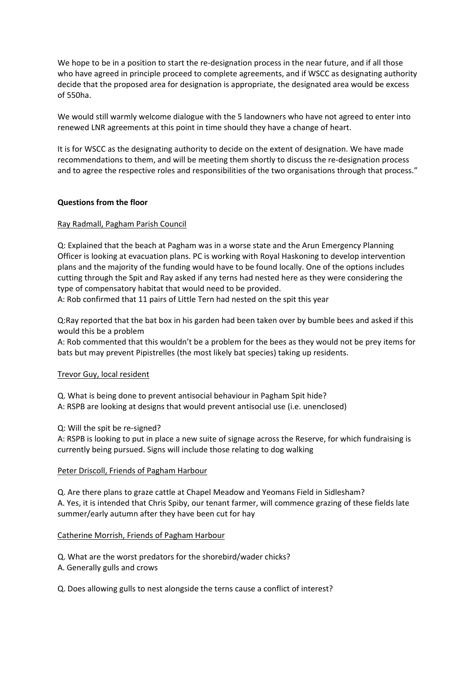We hope to be in a position to start the re-designation process in the near future, and if all those who have agreed in principle proceed to complete agreements, and if WSCC as designating authority decide that the proposed area for designation is appropriate, the designated area would be excess of 550ha.

We would still warmly welcome dialogue with the 5 landowners who have not agreed to enter into renewed LNR agreements at this point in time should they have a change of heart.

It is for WSCC as the designating authority to decide on the extent of designation. We have made recommendations to them, and will be meeting them shortly to discuss the re‐designation process and to agree the respective roles and responsibilities of the two organisations through that process."

## **Questions from the floor**

## Ray Radmall, Pagham Parish Council

Q: Explained that the beach at Pagham was in a worse state and the Arun Emergency Planning Officer is looking at evacuation plans. PC is working with Royal Haskoning to develop intervention plans and the majority of the funding would have to be found locally. One of the options includes cutting through the Spit and Ray asked if any terns had nested here as they were considering the type of compensatory habitat that would need to be provided.

A: Rob confirmed that 11 pairs of Little Tern had nested on the spit this year

Q:Ray reported that the bat box in his garden had been taken over by bumble bees and asked if this would this be a problem

A: Rob commented that this wouldn't be a problem for the bees as they would not be prey items for bats but may prevent Pipistrelles (the most likely bat species) taking up residents.

## Trevor Guy, local resident

Q. What is being done to prevent antisocial behaviour in Pagham Spit hide? A: RSPB are looking at designs that would prevent antisocial use (i.e. unenclosed)

Q: Will the spit be re‐signed?

A: RSPB is looking to put in place a new suite of signage across the Reserve, for which fundraising is currently being pursued. Signs will include those relating to dog walking

## Peter Driscoll, Friends of Pagham Harbour

Q. Are there plans to graze cattle at Chapel Meadow and Yeomans Field in Sidlesham? A. Yes, it is intended that Chris Spiby, our tenant farmer, will commence grazing of these fields late summer/early autumn after they have been cut for hay

## Catherine Morrish, Friends of Pagham Harbour

Q. What are the worst predators for the shorebird/wader chicks?

- A. Generally gulls and crows
- Q. Does allowing gulls to nest alongside the terns cause a conflict of interest?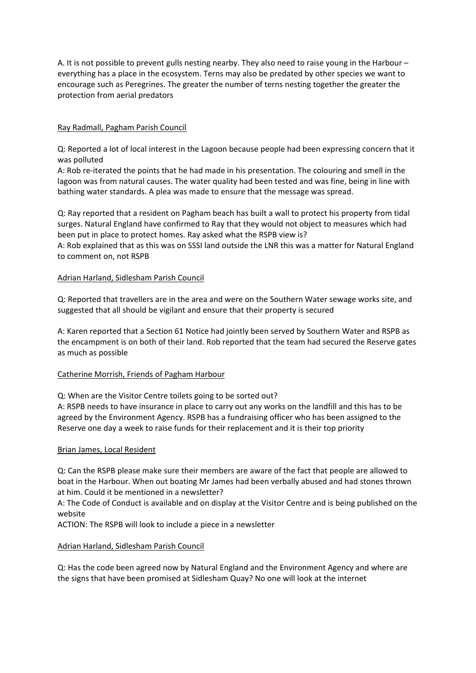A. It is not possible to prevent gulls nesting nearby. They also need to raise young in the Harbour – everything has a place in the ecosystem. Terns may also be predated by other species we want to encourage such as Peregrines. The greater the number of terns nesting together the greater the protection from aerial predators

## Ray Radmall, Pagham Parish Council

Q: Reported a lot of local interest in the Lagoon because people had been expressing concern that it was polluted

A: Rob re‐iterated the points that he had made in his presentation. The colouring and smell in the lagoon was from natural causes. The water quality had been tested and was fine, being in line with bathing water standards. A plea was made to ensure that the message was spread.

Q: Ray reported that a resident on Pagham beach has built a wall to protect his property from tidal surges. Natural England have confirmed to Ray that they would not object to measures which had been put in place to protect homes. Ray asked what the RSPB view is?

A: Rob explained that as this was on SSSI land outside the LNR this was a matter for Natural England to comment on, not RSPB

## Adrian Harland, Sidlesham Parish Council

Q: Reported that travellers are in the area and were on the Southern Water sewage works site, and suggested that all should be vigilant and ensure that their property is secured

A: Karen reported that a Section 61 Notice had jointly been served by Southern Water and RSPB as the encampment is on both of their land. Rob reported that the team had secured the Reserve gates as much as possible

## Catherine Morrish, Friends of Pagham Harbour

Q: When are the Visitor Centre toilets going to be sorted out?

A: RSPB needs to have insurance in place to carry out any works on the landfill and this has to be agreed by the Environment Agency. RSPB has a fundraising officer who has been assigned to the Reserve one day a week to raise funds for their replacement and it is their top priority

## Brian James, Local Resident

Q: Can the RSPB please make sure their members are aware of the fact that people are allowed to boat in the Harbour. When out boating Mr James had been verbally abused and had stones thrown at him. Could it be mentioned in a newsletter?

A: The Code of Conduct is available and on display at the Visitor Centre and is being published on the website

ACTION: The RSPB will look to include a piece in a newsletter

## Adrian Harland, Sidlesham Parish Council

Q: Has the code been agreed now by Natural England and the Environment Agency and where are the signs that have been promised at Sidlesham Quay? No one will look at the internet